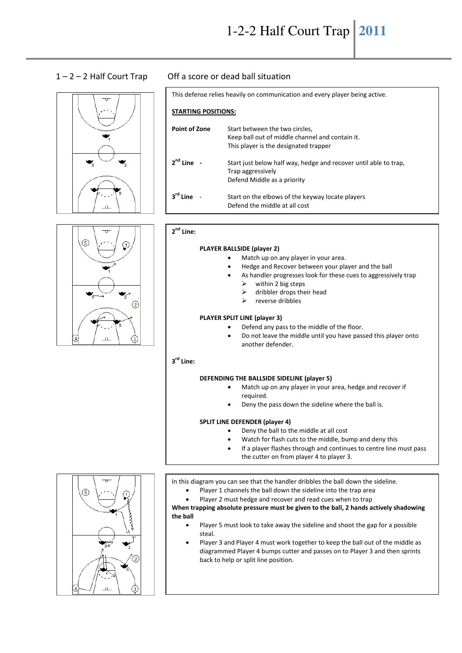

# 1 – 2 – 2 Half Court Trap Off a score or dead ball situation

| This defense relies heavily on communication and every player being active. |                                                                                                                            |
|-----------------------------------------------------------------------------|----------------------------------------------------------------------------------------------------------------------------|
| <b>STARTING POSITIONS:</b>                                                  |                                                                                                                            |
| <b>Point of Zone</b>                                                        | Start between the two circles,<br>Keep ball out of middle channel and contain it.<br>This player is the designated trapper |
| $2nd$ Line -                                                                | Start just below half way, hedge and recover until able to trap,<br>Trap aggressively<br>Defend Middle as a priority       |
| $3^{\text{rd}}$ Line                                                        | Start on the elbows of the keyway locate players<br>Defend the middle at all cost                                          |



#### **2 nd Line:**

#### **PLAYER BALLSIDE (player 2)**

- Match up on any player in your area.
- Hedge and Recover between your player and the ball
- As handler progresses look for these cues to aggressively trap
	- $\triangleright$  within 2 big steps
	- $\geq$  dribbler drops their head<br> $\geq$  reverse dribbles
	- reverse dribbles

#### **PLAYER SPLIT LINE (player 3)**

- Defend any pass to the middle of the floor.
- Do not leave the middle until you have passed this player onto another defender.

### **3 rd Line:**

#### **DEFENDING THE BALLSIDE SIDELINE (player 5)**

- Match up on any player in your area, hedge and recover if required.
	- Deny the pass down the sideline where the ball is.

## **SPLIT LINE DEFENDER (player 4)**

- Deny the ball to the middle at all cost
- Watch for flash cuts to the middle, bump and deny this
- If a player flashes through and continues to centre line must pass the cutter on from player 4 to player 3.

In this diagram you can see that the handler dribbles the ball down the sideline.

- Player 1 channels the ball down the sideline into the trap area
- Player 2 must hedge and recover and read cues when to trap

**When trapping absolute pressure must be given to the ball, 2 hands actively shadowing the ball** 

- Player 5 must look to take away the sideline and shoot the gap for a possible steal.
- Player 3 and Player 4 must work together to keep the ball out of the middle as diagrammed Player 4 bumps cutter and passes on to Player 3 and then sprints back to help or split line position.